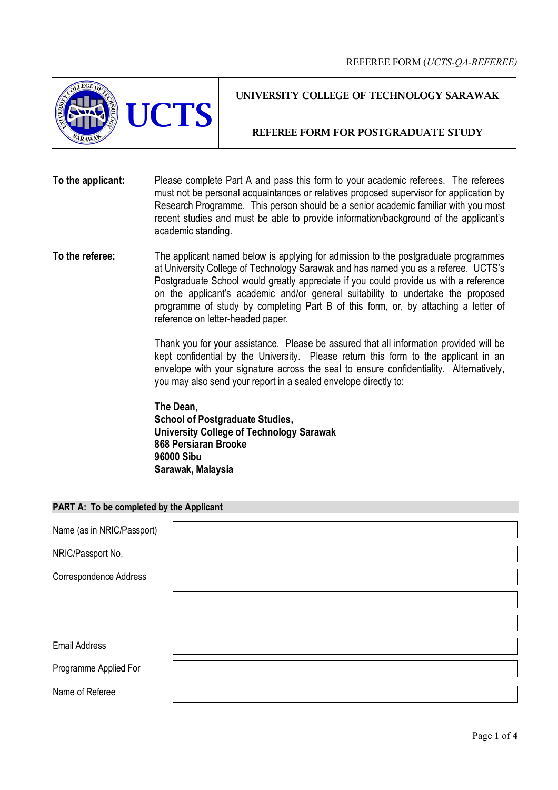

UNIVERSITY COLLEGE OF TECHNOLOGY SARAWAK

## REFEREE FORM FOR POSTGRADUATE STUDY

**To the applicant:** Please complete Part A and pass this form to your academic referees. The referees must not be personal acquaintances or relatives proposed supervisor for application by Research Programme. This person should be a senior academic familiar with you most recent studies and must be able to provide information/background of the applicant's academic standing.

**To the referee:** The applicant named below is applying for admission to the postgraduate programmes at University College of Technology Sarawak and has named you as a referee. UCTS's Postgraduate School would greatly appreciate if you could provide us with a reference on the applicant's academic and/or general suitability to undertake the proposed programme of study by completing Part B of this form, or, by attaching a letter of reference on letter-headed paper.

> Thank you for your assistance. Please be assured that all information provided will be kept confidential by the University. Please return this form to the applicant in an envelope with your signature across the seal to ensure confidentiality. Alternatively, you may also send your report in a sealed envelope directly to:

**The Dean, School of Postgraduate Studies, University College of Technology Sarawak 868 Persiaran Brooke 96000 Sibu Sarawak, Malaysia**

## **PART A: To be completed by the Applicant**

| Name (as in NRIC/Passport) |  |
|----------------------------|--|
| NRIC/Passport No.          |  |
| Correspondence Address     |  |
|                            |  |
|                            |  |
| <b>Email Address</b>       |  |
| Programme Applied For      |  |
| Name of Referee            |  |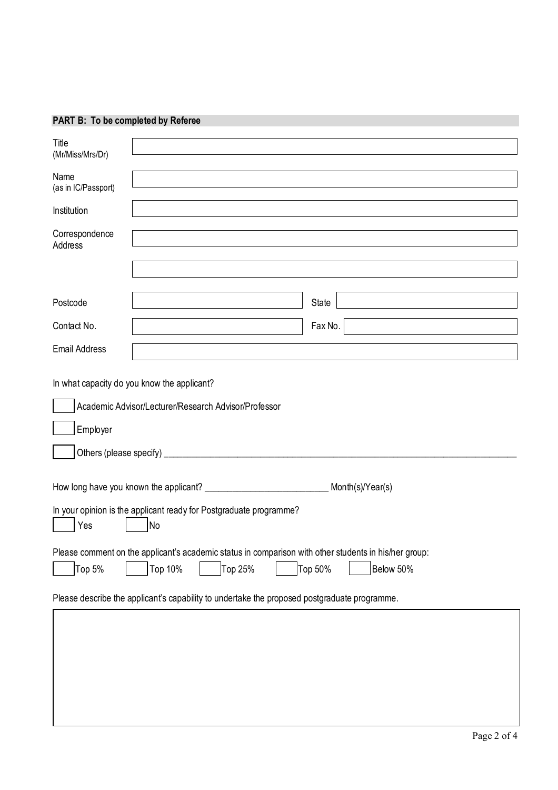## **PART B: To be completed by Referee**

| Title<br>(Mr/Miss/Mrs/Dr)   |                                                                                                       |  |  |  |  |  |
|-----------------------------|-------------------------------------------------------------------------------------------------------|--|--|--|--|--|
| Name<br>(as in IC/Passport) |                                                                                                       |  |  |  |  |  |
| Institution                 |                                                                                                       |  |  |  |  |  |
| Correspondence<br>Address   |                                                                                                       |  |  |  |  |  |
|                             |                                                                                                       |  |  |  |  |  |
| Postcode                    | State                                                                                                 |  |  |  |  |  |
| Contact No.                 | Fax No.                                                                                               |  |  |  |  |  |
| <b>Email Address</b>        |                                                                                                       |  |  |  |  |  |
| Employer                    | In what capacity do you know the applicant?<br>Academic Advisor/Lecturer/Research Advisor/Professor   |  |  |  |  |  |
| Month(s)/Year(s)            |                                                                                                       |  |  |  |  |  |
| Yes                         | In your opinion is the applicant ready for Postgraduate programme?<br>No                              |  |  |  |  |  |
|                             | Please comment on the applicant's academic status in comparison with other students in his/her group: |  |  |  |  |  |
| Top 5%                      | Top 50%<br>Top 10%<br>Top 25%<br>Below 50%                                                            |  |  |  |  |  |
|                             | Please describe the applicant's capability to undertake the proposed postgraduate programme.          |  |  |  |  |  |
|                             |                                                                                                       |  |  |  |  |  |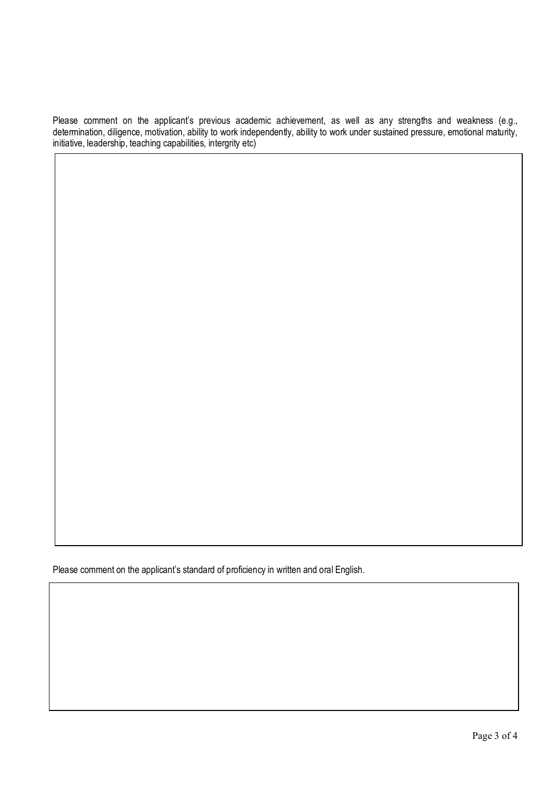Please comment on the applicant's previous academic achievement, as well as any strengths and weakness (e.g., determination, diligence, motivation, ability to work independently, ability to work under sustained pressure, emotional maturity, initiative, leadership, teaching capabilities, intergrity etc)

Please comment on the applicant's standard of proficiency in written and oral English.